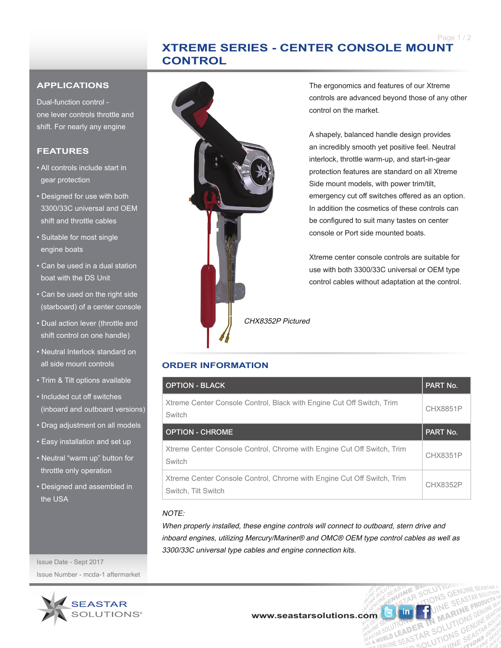# **XTREME SERIES - CENTER CONSOLE MOUNT CONTROL**

#### **APPLICATIONS**

Dual-function control one lever controls throttle and shift. For nearly any engine

### **FEATURES**

- All controls include start in gear protection
- Designed for use with both 3300/33C universal and OEM shift and throttle cables
- Suitable for most single engine boats
- Can be used in a dual station boat with the DS Unit
- Can be used on the right side (starboard) of a center console
- Dual action lever (throttle and shift control on one handle)
- Neutral Interlock standard on all side mount controls
- Trim & Tilt options available
- Included cut off switches (inboard and outboard versions)
- Drag adjustment on all models
- Easy installation and set up
- Neutral "warm up" button for throttle only operation
- Designed and assembled in the USA



The ergonomics and features of our Xtreme controls are advanced beyond those of any other control on the market.

A shapely, balanced handle design provides an incredibly smooth yet positive feel. Neutral interlock, throttle warm-up, and start-in-gear protection features are standard on all Xtreme Side mount models, with power trim/tilt, emergency cut off switches offered as an option. In addition the cosmetics of these controls can be configured to suit many tastes on center console or Port side mounted boats.

Xtreme center console controls are suitable for use with both 3300/33C universal or OEM type control cables without adaptation at the control.

TIONS ER TN MATT

LUTIONS

CHX8352P Pictured

## **ORDER INFORMATION**

| <b>OPTION - BLACK</b>                                                                         | PART No.        |
|-----------------------------------------------------------------------------------------------|-----------------|
| Xtreme Center Console Control, Black with Engine Cut Off Switch, Trim<br>Switch               | <b>CHX8851P</b> |
| <b>OPTION - CHROME</b>                                                                        | PART No.        |
| Xtreme Center Console Control, Chrome with Engine Cut Off Switch, Trim<br>Switch              | <b>CHX8351P</b> |
| Xtreme Center Console Control, Chrome with Engine Cut Off Switch, Trim<br>Switch. Tilt Switch | CHX8352P        |

#### NOTE:

When properly installed, these engine controls will connect to outboard, stern drive and inboard engines, utilizing Mercury/Mariner® and OMC® OEM type control cables as well as 3300/33C universal type cables and engine connection kits.

Issue Date - Sept 2017 Issue Number - mcda-1 aftermarket